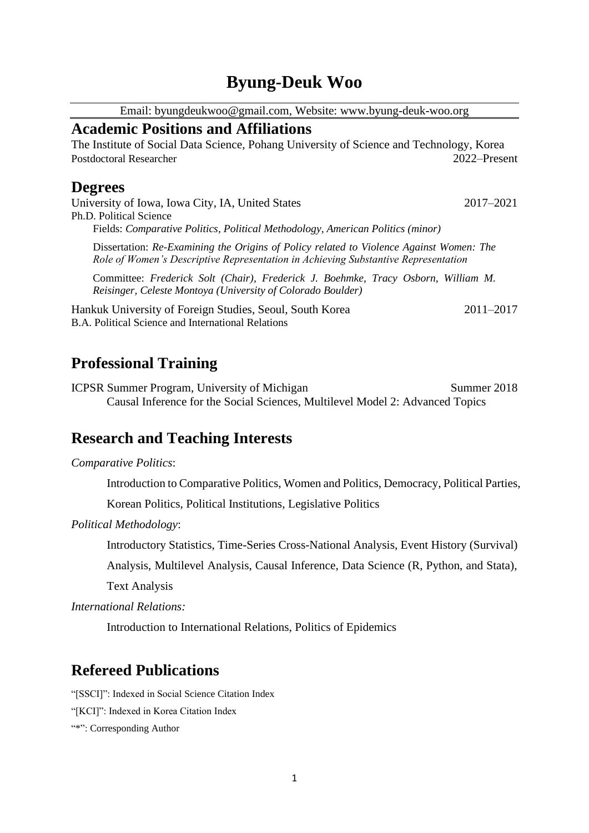# **Byung-Deuk Woo**

Email: byungdeukwoo@gmail.com, Website: www.byung-deuk-woo.org

### **Academic Positions and Affiliations**

The Institute of Social Data Science, Pohang University of Science and Technology, Korea Postdoctoral Researcher2022–Present

### **Degrees**

University of Iowa, Iowa City, IA, United States 2017–2021 Ph.D. Political Science Fields: *Comparative Politics, Political Methodology, American Politics (minor)*

Dissertation: *Re-Examining the Origins of Policy related to Violence Against Women: The Role of Women's Descriptive Representation in Achieving Substantive Representation*

Committee: *Frederick Solt (Chair), Frederick J. Boehmke, Tracy Osborn, William M. Reisinger, Celeste Montoya (University of Colorado Boulder)*

Hankuk University of Foreign Studies, Seoul, South Korea 2011–2017 B.A. Political Science and International Relations

# **Professional Training**

ICPSR Summer Program, University of Michigan Summer 2018 Causal Inference for the Social Sciences, Multilevel Model 2: Advanced Topics

## **Research and Teaching Interests**

#### *Comparative Politics*:

Introduction to Comparative Politics, Women and Politics, Democracy, Political Parties,

Korean Politics, Political Institutions, Legislative Politics

*Political Methodology*:

Introductory Statistics, Time-Series Cross-National Analysis, Event History (Survival)

Analysis, Multilevel Analysis, Causal Inference, Data Science (R, Python, and Stata),

Text Analysis

*International Relations:* 

Introduction to International Relations, Politics of Epidemics

## **Refereed Publications**

"[SSCI]": Indexed in Social Science Citation Index

"[KCI]": Indexed in Korea Citation Index

"\*": Corresponding Author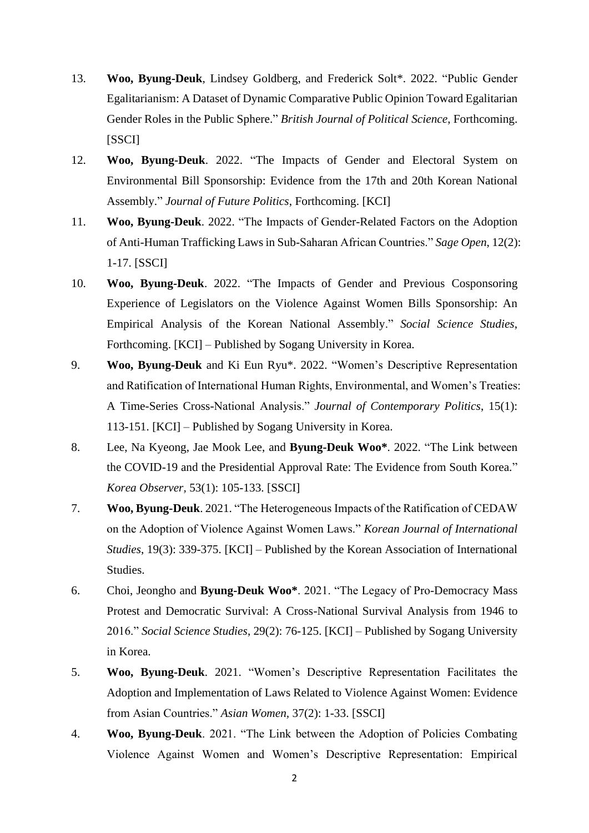- 13. **Woo, Byung-Deuk**, Lindsey Goldberg, and Frederick Solt\*. 2022. "Public Gender Egalitarianism: A Dataset of Dynamic Comparative Public Opinion Toward Egalitarian Gender Roles in the Public Sphere." *British Journal of Political Science*, Forthcoming. [SSCI]
- 12. **Woo, Byung-Deuk**. 2022. "The Impacts of Gender and Electoral System on Environmental Bill Sponsorship: Evidence from the 17th and 20th Korean National Assembly." *Journal of Future Politics*, Forthcoming. [KCI]
- 11. **Woo, Byung-Deuk**. 2022. "The Impacts of Gender-Related Factors on the Adoption of Anti-Human Trafficking Laws in Sub-Saharan African Countries." *Sage Open*, 12(2): 1-17. [SSCI]
- 10. **Woo, Byung-Deuk**. 2022. "The Impacts of Gender and Previous Cosponsoring Experience of Legislators on the Violence Against Women Bills Sponsorship: An Empirical Analysis of the Korean National Assembly." *Social Science Studies*, Forthcoming. [KCI] – Published by Sogang University in Korea.
- 9. **Woo, Byung-Deuk** and Ki Eun Ryu\*. 2022. "Women's Descriptive Representation and Ratification of International Human Rights, Environmental, and Women's Treaties: A Time-Series Cross-National Analysis." *Journal of Contemporary Politics*, 15(1): 113-151. [KCI] – Published by Sogang University in Korea.
- 8. Lee, Na Kyeong, Jae Mook Lee, and **Byung-Deuk Woo\***. 2022. "The Link between the COVID-19 and the Presidential Approval Rate: The Evidence from South Korea." *Korea Observer,* 53(1): 105-133. [SSCI]
- 7. **Woo, Byung-Deuk**. 2021. "The Heterogeneous Impacts of the Ratification of CEDAW on the Adoption of Violence Against Women Laws." *Korean Journal of International Studies*, 19(3): 339-375. [KCI] – Published by the Korean Association of International Studies.
- 6. Choi, Jeongho and **Byung-Deuk Woo\***. 2021. "The Legacy of Pro-Democracy Mass Protest and Democratic Survival: A Cross-National Survival Analysis from 1946 to 2016." *Social Science Studies*, 29(2): 76-125. [KCI] – Published by Sogang University in Korea.
- 5. **Woo, Byung-Deuk**. 2021. "Women's Descriptive Representation Facilitates the Adoption and Implementation of Laws Related to Violence Against Women: Evidence from Asian Countries." *Asian Women,* 37(2): 1-33. [SSCI]
- 4. **Woo, Byung-Deuk**. 2021. "The Link between the Adoption of Policies Combating Violence Against Women and Women's Descriptive Representation: Empirical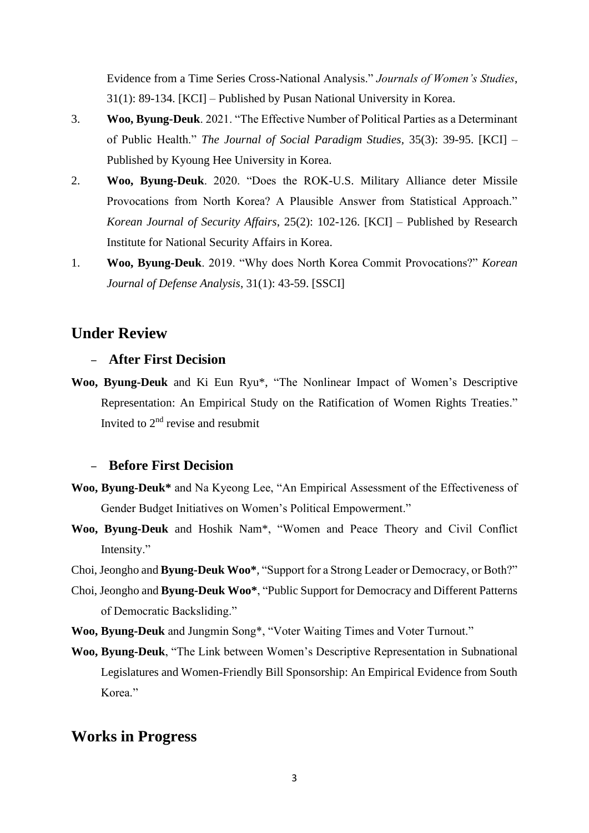Evidence from a Time Series Cross-National Analysis." *Journals of Women's Studies*, 31(1): 89-134. [KCI] – Published by Pusan National University in Korea.

- 3. **Woo, Byung-Deuk**. 2021. "The Effective Number of Political Parties as a Determinant of Public Health." *The Journal of Social Paradigm Studies,* 35(3): 39-95. [KCI] – Published by Kyoung Hee University in Korea.
- 2. **Woo, Byung-Deuk**. 2020. "Does the ROK-U.S. Military Alliance deter Missile Provocations from North Korea? A Plausible Answer from Statistical Approach." *Korean Journal of Security Affairs*, 25(2): 102-126. [KCI] – Published by Research Institute for National Security Affairs in Korea.
- 1. **Woo, Byung-Deuk**. 2019. "Why does North Korea Commit Provocations?" *Korean Journal of Defense Analysis*, 31(1): 43-59. [SSCI]

### **Under Review**

#### – **After First Decision**

**Woo, Byung-Deuk** and Ki Eun Ryu\*, "The Nonlinear Impact of Women's Descriptive Representation: An Empirical Study on the Ratification of Women Rights Treaties." Invited to 2nd revise and resubmit

### – **Before First Decision**

- **Woo, Byung-Deuk\*** and Na Kyeong Lee, "An Empirical Assessment of the Effectiveness of Gender Budget Initiatives on Women's Political Empowerment."
- **Woo, Byung-Deuk** and Hoshik Nam\*, "Women and Peace Theory and Civil Conflict Intensity."
- Choi, Jeongho and **Byung-Deuk Woo\***, "Support for a Strong Leader or Democracy, or Both?"
- Choi, Jeongho and **Byung-Deuk Woo\***, "Public Support for Democracy and Different Patterns of Democratic Backsliding."
- **Woo, Byung-Deuk** and Jungmin Song\*, "Voter Waiting Times and Voter Turnout."
- **Woo, Byung-Deuk**, "The Link between Women's Descriptive Representation in Subnational Legislatures and Women-Friendly Bill Sponsorship: An Empirical Evidence from South Korea<sup>"</sup>

### **Works in Progress**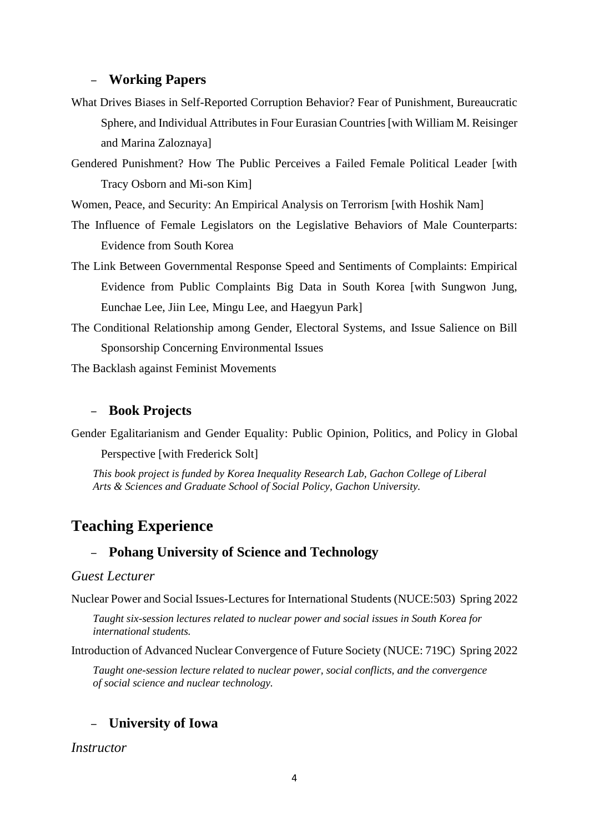#### – **Working Papers**

- What Drives Biases in Self-Reported Corruption Behavior? Fear of Punishment, Bureaucratic Sphere, and Individual Attributes in Four Eurasian Countries [with William M. Reisinger and Marina Zaloznaya]
- Gendered Punishment? How The Public Perceives a Failed Female Political Leader [with Tracy Osborn and Mi-son Kim]

Women, Peace, and Security: An Empirical Analysis on Terrorism [with Hoshik Nam]

- The Influence of Female Legislators on the Legislative Behaviors of Male Counterparts: Evidence from South Korea
- The Link Between Governmental Response Speed and Sentiments of Complaints: Empirical Evidence from Public Complaints Big Data in South Korea [with Sungwon Jung, Eunchae Lee, Jiin Lee, Mingu Lee, and Haegyun Park]
- The Conditional Relationship among Gender, Electoral Systems, and Issue Salience on Bill Sponsorship Concerning Environmental Issues

The Backlash against Feminist Movements

#### – **Book Projects**

Gender Egalitarianism and Gender Equality: Public Opinion, Politics, and Policy in Global

Perspective [with Frederick Solt]

*This book project is funded by Korea Inequality Research Lab, Gachon College of Liberal Arts & Sciences and Graduate School of Social Policy, Gachon University.*

## **Teaching Experience**

### – **Pohang University of Science and Technology**

#### *Guest Lecturer*

Nuclear Power and Social Issues-Lectures for International Students (NUCE:503) Spring 2022

*Taught six-session lectures related to nuclear power and social issues in South Korea for international students.*

Introduction of Advanced Nuclear Convergence of Future Society (NUCE: 719C) Spring 2022

*Taught one-session lecture related to nuclear power, social conflicts, and the convergence of social science and nuclear technology.*

### – **University of Iowa**

*Instructor*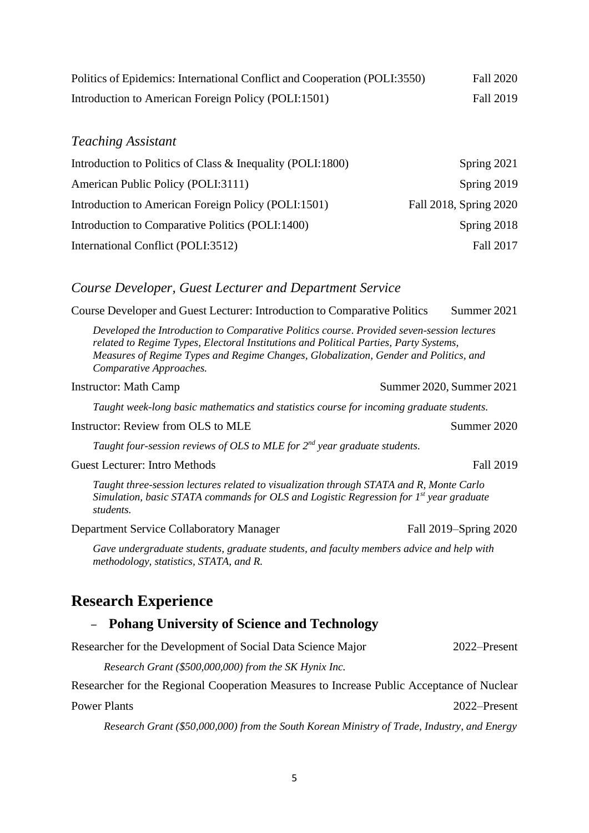| Politics of Epidemics: International Conflict and Cooperation (POLI:3550) | Fall 2020 |
|---------------------------------------------------------------------------|-----------|
| Introduction to American Foreign Policy (POLI:1501)                       | Fall 2019 |

#### *Teaching Assistant*

| Introduction to Politics of Class & Inequality (POLI:1800) | Spring 2021            |
|------------------------------------------------------------|------------------------|
| American Public Policy (POLI:3111)                         | Spring 2019            |
| Introduction to American Foreign Policy (POLI:1501)        | Fall 2018, Spring 2020 |
| Introduction to Comparative Politics (POLI:1400)           | Spring 2018            |
| International Conflict (POLI:3512)                         | Fall 2017              |

#### *Course Developer, Guest Lecturer and Department Service*

Course Developer and Guest Lecturer: Introduction to Comparative Politics Summer 2021

*Developed the Introduction to Comparative Politics course*. *Provided seven-session lectures related to Regime Types, Electoral Institutions and Political Parties, Party Systems, Measures of Regime Types and Regime Changes, Globalization, Gender and Politics, and Comparative Approaches.*

#### Instructor: Math Camp Summer 2020, Summer 2021

*Taught week-long basic mathematics and statistics course for incoming graduate students.*

#### Instructor: Review from OLS to MLE Summer 2020

Taught four-session reviews of OLS to MLE for 2<sup>nd</sup> year graduate students.

#### Guest Lecturer: Intro Methods Fall 2019

*Taught three-session lectures related to visualization through STATA and R, Monte Carlo Simulation, basic STATA commands for OLS and Logistic Regression for 1st year graduate students.*

Department Service Collaboratory Manager Fall 2019–Spring 2020

*Gave undergraduate students, graduate students, and faculty members advice and help with methodology, statistics, STATA, and R.*

### **Research Experience**

### – **Pohang University of Science and Technology**

| Researcher for the Development of Social Data Science Major | 2022–Present |
|-------------------------------------------------------------|--------------|
|-------------------------------------------------------------|--------------|

*Research Grant (\$500,000,000) from the SK Hynix Inc.*

Researcher for the Regional Cooperation Measures to Increase Public Acceptance of Nuclear

Power Plants 2022–Present

*Research Grant (\$50,000,000) from the South Korean Ministry of Trade, Industry, and Energy*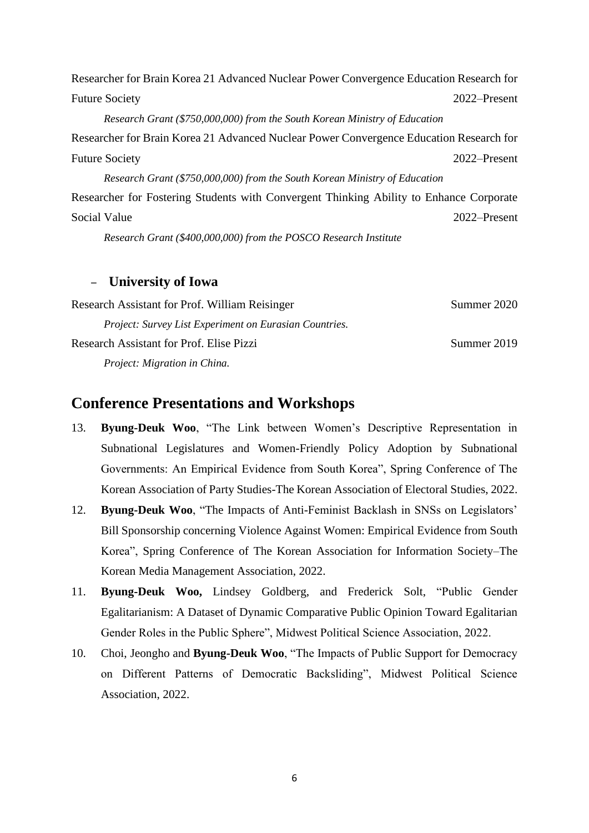Researcher for Brain Korea 21 Advanced Nuclear Power Convergence Education Research for Future Society 2022–Present *Research Grant (\$750,000,000) from the South Korean Ministry of Education* Researcher for Brain Korea 21 Advanced Nuclear Power Convergence Education Research for Future Society 2022–Present *Research Grant (\$750,000,000) from the South Korean Ministry of Education* Researcher for Fostering Students with Convergent Thinking Ability to Enhance Corporate Social Value 2022–Present *Research Grant (\$400,000,000) from the POSCO Research Institute*

### – **University of Iowa**

| <b>Research Assistant for Prof. William Reisinger</b>  | Summer 2020 |
|--------------------------------------------------------|-------------|
| Project: Survey List Experiment on Eurasian Countries. |             |
| <b>Research Assistant for Prof. Elise Pizzi</b>        | Summer 2019 |
| Project: Migration in China.                           |             |

### **Conference Presentations and Workshops**

- 13. **Byung-Deuk Woo**, "The Link between Women's Descriptive Representation in Subnational Legislatures and Women-Friendly Policy Adoption by Subnational Governments: An Empirical Evidence from South Korea", Spring Conference of The Korean Association of Party Studies-The Korean Association of Electoral Studies, 2022.
- 12. **Byung-Deuk Woo**, "The Impacts of Anti-Feminist Backlash in SNSs on Legislators' Bill Sponsorship concerning Violence Against Women: Empirical Evidence from South Korea", Spring Conference of The Korean Association for Information Society–The Korean Media Management Association, 2022.
- 11. **Byung-Deuk Woo,** Lindsey Goldberg, and Frederick Solt, "Public Gender Egalitarianism: A Dataset of Dynamic Comparative Public Opinion Toward Egalitarian Gender Roles in the Public Sphere", Midwest Political Science Association, 2022.
- 10. Choi, Jeongho and **Byung-Deuk Woo**, "The Impacts of Public Support for Democracy on Different Patterns of Democratic Backsliding", Midwest Political Science Association, 2022.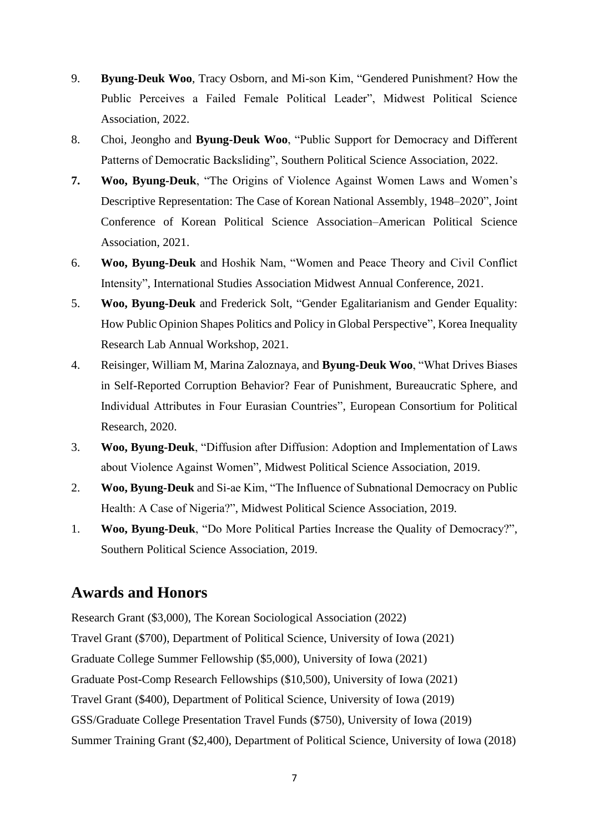- 9. **Byung-Deuk Woo**, Tracy Osborn, and Mi-son Kim, "Gendered Punishment? How the Public Perceives a Failed Female Political Leader", Midwest Political Science Association, 2022.
- 8. Choi, Jeongho and **Byung-Deuk Woo**, "Public Support for Democracy and Different Patterns of Democratic Backsliding", Southern Political Science Association, 2022.
- **7. Woo, Byung-Deuk**, "The Origins of Violence Against Women Laws and Women's Descriptive Representation: The Case of Korean National Assembly, 1948–2020", Joint Conference of Korean Political Science Association–American Political Science Association, 2021.
- 6. **Woo, Byung-Deuk** and Hoshik Nam, "Women and Peace Theory and Civil Conflict Intensity", International Studies Association Midwest Annual Conference, 2021.
- 5. **Woo, Byung-Deuk** and Frederick Solt, "Gender Egalitarianism and Gender Equality: How Public Opinion Shapes Politics and Policy in Global Perspective", Korea Inequality Research Lab Annual Workshop, 2021.
- 4. Reisinger, William M, Marina Zaloznaya, and **Byung-Deuk Woo**, "What Drives Biases in Self-Reported Corruption Behavior? Fear of Punishment, Bureaucratic Sphere, and Individual Attributes in Four Eurasian Countries", European Consortium for Political Research, 2020.
- 3. **Woo, Byung-Deuk**, "Diffusion after Diffusion: Adoption and Implementation of Laws about Violence Against Women", Midwest Political Science Association, 2019.
- 2. **Woo, Byung-Deuk** and Si-ae Kim, "The Influence of Subnational Democracy on Public Health: A Case of Nigeria?", Midwest Political Science Association, 2019.
- 1. **Woo, Byung-Deuk**, "Do More Political Parties Increase the Quality of Democracy?", Southern Political Science Association, 2019.

## **Awards and Honors**

Research Grant (\$3,000), The Korean Sociological Association (2022) Travel Grant (\$700), Department of Political Science, University of Iowa (2021) Graduate College Summer Fellowship (\$5,000), University of Iowa (2021) Graduate Post-Comp Research Fellowships (\$10,500), University of Iowa (2021) Travel Grant (\$400), Department of Political Science, University of Iowa (2019) GSS/Graduate College Presentation Travel Funds (\$750), University of Iowa (2019) Summer Training Grant (\$2,400), Department of Political Science, University of Iowa (2018)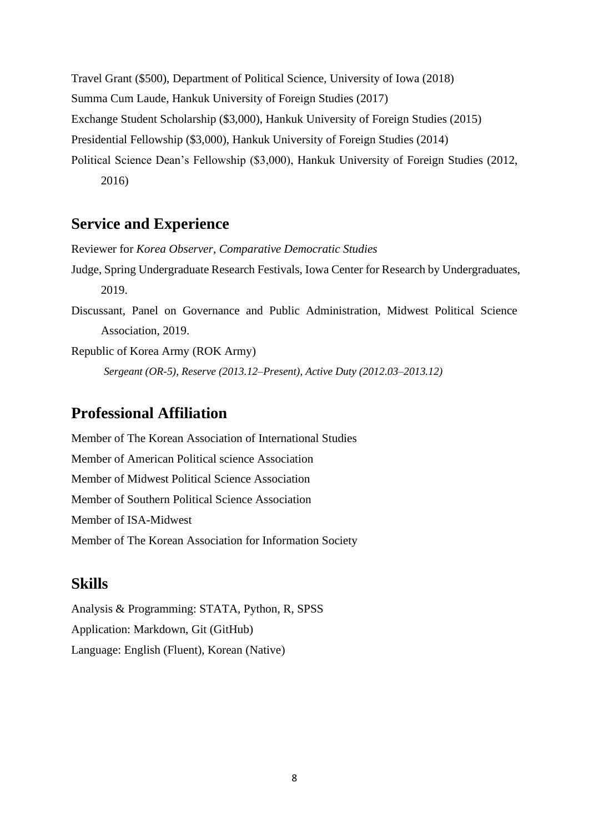Travel Grant (\$500), Department of Political Science, University of Iowa (2018) Summa Cum Laude, Hankuk University of Foreign Studies (2017) Exchange Student Scholarship (\$3,000), Hankuk University of Foreign Studies (2015) Presidential Fellowship (\$3,000), Hankuk University of Foreign Studies (2014) Political Science Dean's Fellowship (\$3,000), Hankuk University of Foreign Studies (2012, 2016)

### **Service and Experience**

Reviewer for *Korea Observer*, *Comparative Democratic Studies*

- Judge, Spring Undergraduate Research Festivals, Iowa Center for Research by Undergraduates, 2019.
- Discussant, Panel on Governance and Public Administration, Midwest Political Science Association, 2019.

Republic of Korea Army (ROK Army) *Sergeant (OR-5), Reserve (2013.12–Present), Active Duty (2012.03–2013.12)*

# **Professional Affiliation**

Member of The Korean Association of International Studies Member of American Political science Association Member of Midwest Political Science Association Member of Southern Political Science Association Member of ISA-Midwest Member of The Korean Association for Information Society

### **Skills**

Analysis & Programming: STATA, Python, R, SPSS Application: Markdown, Git (GitHub) Language: English (Fluent), Korean (Native)